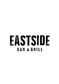# EASTS IDE **BAR & GRILL**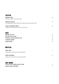| <b>COCKTAIL</b>                                                                                                                |                            |
|--------------------------------------------------------------------------------------------------------------------------------|----------------------------|
| <b>FEELING SEXY</b><br>Prosecco, agave syrup, lime juice                                                                       | 18                         |
| <b>CRYSTAL GUAVA</b><br>Pomegranate infused white spirit, guava juice & lavender syrup                                         | 19                         |
| <b>CHILLI &amp; PASSION FRUIT</b><br>Jalapeno infused vodka, passion fruit & lime                                              | 19                         |
| BEER<br>PERONI (on tap)<br><b>BALTER XPA (on tap)</b><br>STONE & WOOD PACIFIC ALE<br><b>CORONA EXTRA</b><br><b>ASAHI LIGHT</b> | 13<br>14<br>14<br>12<br>10 |
| <b>MOCKTAIL</b>                                                                                                                |                            |
| <b>PINK LADY</b><br>Guava juice, vanilla syrup & orange bitter                                                                 | 11                         |
| <b>APPLE CRUMBLE</b><br>Apple juice, cinnamon syrup & lemonade                                                                 | 11                         |
| <b>SOFT DRINK</b><br>COCA COLA, SPRITE & DIET COKE                                                                             | 6                          |

LEMON LIME & BITTERS 7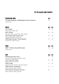# BY THE GLASS AND CARAFFE

| <b>SPARKLING WINE</b><br>NV Santa Margherita, Valdobbiadene Prosecco Superiore<br>Veneto, Italy | GLS<br>19 |           |
|-------------------------------------------------------------------------------------------------|-----------|-----------|
| WHITE<br>2019 Pasqua                                                                            | GLS<br>16 | CRF<br>49 |
| Pinot Grigio, Veneto, Italy                                                                     |           |           |
| 2021 Te Mata                                                                                    | 18        | 58        |
| Sauvignon blanc, Hawke's Bay, New Zealand                                                       |           |           |
| 2016 Charles Smith 'Kung Fu Girl'                                                               | 18        | 58        |
| Riesling, Washington State, USA                                                                 |           |           |
| 2020 Robert Mondavi 'Private Selection'<br>Chardonnay, California, USA                          | 19        | 64        |
| ROSE                                                                                            | GLS       | CRF       |
| 2020 11 Minutes, Rose delle Venezie<br>Veneto, Italy                                            | 18        | 58        |
| RED                                                                                             | GLS       | CRF       |
| 2020 Bouchard Aine et Fils                                                                      | 17        | 56        |
| Pinor Noir, Languedoc Roussillon, France                                                        |           |           |
| 2019 Capel Vale 'Debut'                                                                         | 18        | 58        |
| Malbec, Western Australia                                                                       |           |           |
| 2020 Te Mata                                                                                    | 19        | 65        |
| Cabernet Merlot, Hawke's Bay, New Zealand                                                       |           |           |
| 2020 Torbreck 'Woodcutter's'                                                                    | 21        | 76        |
| Shiraz, Barossa Valley, Australia<br>2019 Torbreck 'The Struie' (Coravin)                       | 35        |           |
| Shiraz, Barossa Valley, Australia                                                               |           |           |
|                                                                                                 |           |           |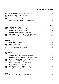# Champagne & sparkling

**WHITE** 

| NV Santa Margherita 'Valdobbiadene'   Veneto, Italy  | 88   |
|------------------------------------------------------|------|
| NV Laurent-Perrier Brut Cuvée   Champagne, France    | 170  |
| NV Ruinart Blanc de Blanc   Champagne, France        | 220  |
| NV Dom Perignon Brut Vintage   Champagne, France     | 600. |
| 2004 Louis Roederer Cristal Rosé   Champagne, France | 1980 |

#### Sauvignon blanc and friends

| 2018 Capel Vale   Semillon Sauvignon Blanc, Margaret River, Australia | 82   |
|-----------------------------------------------------------------------|------|
| 2021 Te Mata   Hawke's Bay, New Zealand                               | 88   |
| 2021 Clouston & Co   Awatere Valley, New Zealand                      | 110  |
| 2018 Three Ponds 'Grosser'   Semillon, Hunter Valley, Australia       | 85   |
| 2020 Domaine Denizot 'Sancerre'   Loire Valley, France                | 150. |

## Pinot grigio/gris

| 2021 Coppabella   Tumbarumba, Australia     | 80. |
|---------------------------------------------|-----|
| 2020 Pasqua   Veneto, Italy                 | 70. |
| 2020 Kettmeir   Pinot Bianco, Veneto, Italy | 105 |
| 2021 Astrolabe   Marlborough, New Zealand   | 88. |

#### **CHARDONNAY**

| 2020 Margan   Hunter Valley, Australia                          | 75  |
|-----------------------------------------------------------------|-----|
| 2018 Capel Vale 'Black Label'   Margaret River, Australia       | 140 |
| 2019 Handpicked 'Regional Selections'   Yarra Valley, Australia | 88  |
| 2019 Caruso & Mininni 'Terre di Giumara'   Sicily, Italy        | 65  |
| 2018 Sibiliana 'Sensale BIO'   Sicily, Italy                    | 78  |
| 2018 Charlène & Laurent Pinson   Chablis, France                | 160 |
| 2017 Astrolabe   Marlborough, New Zealand                       | 85  |
| 2020 Robert Mondavi 'Private Selection'   California, USA       | 90  |
| 2020 Panul by Vinas Manchigue   Curico Valley, Chile            | 70  |

## riesling

| 2016 Charles Smith 'Kung Fu Girl'   Washington State, USA |  |  |
|-----------------------------------------------------------|--|--|
|-----------------------------------------------------------|--|--|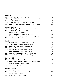# Red

| <b>PINOT NOIR</b>                                                     |     |
|-----------------------------------------------------------------------|-----|
| 2021 Quartier   Mornington Penisula, Australia                        | 95  |
| 2017 Handpicked 'Wombat Creek Vineyard'   Yarra Valley, Australia     | 160 |
| 2018 Bericanto   Vicenza, Italy                                       | 88  |
| 2020 Bouchard Aine et Fils   Languedoc Roussillon, France             | 80  |
| 2019 Domaine Françoise & Denis Clair 'Saternay'   Burgundy, France    | 200 |
| <b>CABERNET SAUVIGNON</b>                                             |     |
| 2019 Capel Vale 'Regional Series'   Margaret River, Australia         | 90  |
| 2018 Capel Vale 'Black Label'   Margaret River, Australia             | 148 |
| 2019 Te Mata   Marlborough, New Zealand                               | 88  |
| 2018 Te Mata 'Coleraine'  Marlborough, New Zealand                    | 280 |
| 2019 Château Grand-Jean   Cabernet Sauvignon, Bordeaux, France        | 78  |
| 2018 Robert Mondavi   Napa Valley, California                         | 280 |
| <b>SHIRAZ</b>                                                         |     |
| 2017 The Second Fleet   Clare & Barossa Valley, Australia             | 70  |
| 2020 Torbreck 'Woodcutter's'   Barossa Valley, Australia              | 96  |
| 2020 Torbreck 'The Struie'   Barossa Valley, Australia                | 150 |
| 2020 d'Arenberg 'Dead Arm'   Barossa Valley, Australia                | 198 |
| 2019 Teusner 'The Riebke'   Barossa Valley, Australia                 | 125 |
| 2005 Teusner 'The Riebke'   Barossa Valley, Australia                 | 188 |
| 2018 Capel Vale 'Wishpering Hill'   Mount Barker, Australia           | 120 |
| 2017 Levantine Hill 'Melissa's Paddock'   Yarra Valley, Australia     | 320 |
| <b>GRENACHE &amp; GSM</b>                                             |     |
| 2020 Torbreck 'Juveniles'   Barossa Valley, Australia                 | 90  |
| 2020 Torbreck 'Harris Grenache'   Grenache, Barossa Valley, Australia | 110 |
| 2012 Teusner 'Avatar'   Barossa Valley, Australia                     | 158 |
| 2009 Teusner 'Avatar'   Barossa Valley, Australia                     | 180 |
| ZINFANDEL/PRIMITIVO                                                   |     |
| 2016 Paololeo   Puglia, Italy                                         | 82  |
| 2016 The Wilson Vineyard   Primitivo/Shiraz, Clare Valley, Australia  | 128 |
| 2017 Saldo   Napa Valley, California                                  | 180 |
| 2017 The Prisoner   Napa Valley, California                           | 220 |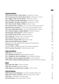# Red

#### Italian red varietals

| 2018 Lamole di Lamole 'Chianti Classico'   Sangiovese, Toscany          | 120 |
|-------------------------------------------------------------------------|-----|
| 2017 Lamole di Lamole 'Chianti Classico Riserva'   Sangiovese, Toscany  | 185 |
| 2017 Poggio Civetta 'Governo all'Uso'   Sangiovese, Toscany             | 110 |
| 2015 La Poderina 'Brunello di Montalcino'   Sangiovese, Toscany         | 208 |
| 2012 Geografico 'Brunello di Montalcino'   Sangiovese, Toscany          | 240 |
| 2016 Tenuta Carretta 'Balbera d'Alba'   Barbera, Toscany                | 140 |
| 2011 Secondo Marco 'Amarone'   Corvina, Corvinone & Rondinella, Veneto  | 320 |
| 2015 Roccasveva 'Amarone'   Corvina, Corvinone & Rondinella, Veneto     | 280 |
| 2019 Masi 'Valpolicella Classico'   Corvina/Rondinella/Molinara, Veneto | 118 |
| 2017 Gabriele Scaglione 'Langhe Nebbiolo'   Nebbiolo, Piedmont          | 125 |
| 2014 Borgogno 'Barolo Riserva'   Nebbiolo, Piedmont                     | 280 |
| 2012 Tenuta Carretta 'Barolo'   Nebbiolo, Piedmont                      | 350 |
| 2015 La Roncaia   Cabernet Franc, Friuli-Venezia Giulia                 | 150 |
| 2016 Cantine Mucci   Montepulciano, Abruzzo                             | 160 |
| 2019 Tre Passo 'Organic Wine'  Negroamaro, Puglia                       | 88  |
| 2020 Farnese Cinque Autoctoni Collection                                | 188 |
| Negroamaro, Primitivo, Malvasia Nera, Sangiovese & Montepulciano        |     |
| NV Cinquesegni 'Il Segno'                                               | 200 |
| Primitivo, Aglianico, Nerello Mescalese, Nero d'Avola & Sangiovese      |     |
| 2016 Torre More 'Etna Rosso'   Nerello Mascalese, Sicily                | 128 |
| <b>FRENCH RED VARIETALS</b>                                             |     |
| 2020 Thorin   Gamay, Beaujolais                                         | 78  |
| 2013 Chapelle de l'Isle Fort   Merlot/Cabernet, Bordeaux                | 125 |
| 2011 Chapelle de l'Isle Fort MAGNUM   Merlot/Cabernet, Bordeaux         | 310 |
| 2016 Château Clarisse Puisseguin Saint Emilion   Merlot, Bordeaux       | 290 |
| 2020 Jérôme Gradassi Châteauneuf-du-pape   Grenache/Mourvèdre, Bordeaux | 230 |
| <b>MALBEC</b>                                                           |     |
| 2019 Capel Vale 'Debut'   Western Australia                             | 78  |
| 2020 Finca La Zulema   Mendoza, Argentina                               | 90  |
| 2020 Château Les Croisille Cahors Croizillon   Cahors, France           | 120 |
| <b>OTHER RED VARIETALS</b>                                              |     |
| 2020 Panul by Vinas Manchigue   Carmènere, Colchagua Valley, Chile      | 70  |
| 2020 Paxton 'Queen of the Hive'   Mataro, McLaren Vale, Australia       | 80  |
| 2019 Capa   Tempranillo, VDA Castilla, Spain                            | 85  |
| 2014 The Prisoner   Merlot, Napa Valley, California                     | 200 |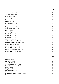| Tanqueray, Scotland                     | 12 |
|-----------------------------------------|----|
| The Botanist, Scotland                  | 16 |
| Hendrick's, Scotland                    | 14 |
| Bombay Sapphire, England                | 13 |
| <b>Bombay The Star, England</b>         | 15 |
| <b>Bulldog, England</b>                 | 13 |
| Hayman's Sloe, England                  | 12 |
| Roku Gin, Japan                         | 14 |
| Roby Marton Gin, Italy                  | 23 |
| Malfy Blood Orange, Italy               | 14 |
| So This, France                         | 18 |
| <b>Monkey 47, Germany</b>               | 16 |
| Poor Tom's, Australia                   | 14 |
| Manly Gin, Australia                    | 14 |
| Australian Gin, Australia               | 13 |
| <b>Bondi Gin, Australia</b>             | 13 |
| Australian Shiraz Gin, Australia        | 14 |
| Hartshorn Sheep Whey Gin, Australia     | 18 |
| Kispirits Wild Gin, Australia           | 18 |
| Kispirits Ogin Gin, Australia           | 18 |
| Kispirits Mulberry Gin, Australia       | 23 |
| Kispirits Whiskey Barrel Gin, Australia | 26 |
| Kispirits Old Tom Gin, Australia        | 28 |

# Vodka

| Ketel one, Holland                     | 12 |
|----------------------------------------|----|
| Belvedere, Poland                      | 13 |
| Zubrowka, Poland                       | 12 |
| Chopin Potato Vodka, Poland            | 13 |
| Chopin Family Reserve, Poland          | 45 |
| Beluga, Russia                         | 14 |
| <b>Grey Goose, France</b>              | 15 |
| Grey Goose VX, France                  | 48 |
| Ciroc, France                          | 14 |
| Crystal Head Alexander Series, Canada  | 40 |
| Royal Dragon Vodka Imperial, Hong Kong | 30 |
|                                        |    |

## Gin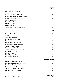## Tequila

| Pueblo Viejo Blanco, Mexico               | 12  |
|-------------------------------------------|-----|
| Espolon Reposado, Mexico                  | 13  |
| Cuervo 1800 Blanco, Jalisco, Mexico       | 13  |
| Cuervo 1800 Reposado, Jalisco, Mexico     | 14  |
| Cuervo 1800 Anejo, Jalisco, Mexico        | 16  |
| Patron Reposado, Mexico                   | 14  |
| Patron Silver, Mexico                     | 14  |
| Patron Anejo, Mexico                      | 14  |
| Patron Citron, Mexico                     | 12  |
| <b>Grand Patron Burdeos Anejo, Mexico</b> | 150 |

#### Rum

| Bacardi Blanco, Cuba               | 12 |
|------------------------------------|----|
| Malibu, USA                        | 12 |
| Sailor Jerry, Caribbean            | 12 |
| Angostura 1919, Caribbean          | 14 |
| Kraken, USA                        | 15 |
| Gosling Black Seal, Bermuda        | 12 |
| Diplomatico Exclusivo, Venezuela   | 16 |
| Central Galactic, England          | 19 |
| Zacapa Solera 23yo, Guatemala      | 20 |
| Zacapa Centenario XO, Guatemala    | 36 |
| <b>Brix White, Surry Hills</b>     | 13 |
| <b>Brix Spiced, Surry Hills</b>    | 14 |
| <b>Brix Gold, Surry Hills</b>      | 15 |
| <b>Brix Trail Mix, Surry Hills</b> | 15 |
|                                    |    |

| <b>AUSTRALIAN WHISKY</b>                 |     |
|------------------------------------------|-----|
| Hellyers Road 'original', Tasmania       | 13  |
| Hellyers Road 'slightly peated, Tasmania | 18  |
| Nant Sherry Cask, Tasmania               | -28 |
| Sullivan Cove Single Cask, Tasmania      | 120 |
| Sullivan Cove Double Cask, Tasmania      | 80  |
| <b>Starward Two Fold, Melbourne</b>      | 13  |

Chinese spirit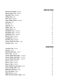|                                   | <b>SINGLE MALT WHISKY</b> |
|-----------------------------------|---------------------------|
| Glendronach Peated, Highland      | 13                        |
| Glenmorangie 10yo, Highland       | 13                        |
| Alberfeldy 12yo, Highland         | 14                        |
| Ardbeg 10yo, Islay                | 14                        |
| Oban 14yo, Highland               | 15                        |
| Oban Distillers Edition, Highland | 25                        |
| Laphroaig, Islay                  | 15                        |
| Cao Ila, Islay                    | 17                        |
| Lagavulin, Islay                  | 15                        |
| Talisker 18yo, Islay              | 28                        |
| Talisker Storm, Islay             | 20                        |
| Glenfiddich 12yo, Speyside        | 12                        |
| Glenfiddich 18yo, Speyside        | 28                        |
| Glenfiddich 21yo, Speyside        | 45                        |
| Belvenie 12yo, Speyside           | 16                        |
| Craigellachie, Speyside           | 15                        |
| Macallan 12yo, Speyside           | 15                        |
| Suntory Whisky The Chita, Japan   | 18                        |
| Yamakazi 12yo, Japan              | 45                        |

#### blended whisky

| Canadian Club, Canada                 | 12 |
|---------------------------------------|----|
| Jameson, Ireland                      | 12 |
| Bushmills black bush, Ireland         | 14 |
| Chivas 12yo, Speyside                 | 13 |
| Johnnie Walker Black Label, Scotland  | 12 |
| Johnnie Walker Gold Label, Scotland   | 16 |
| Johnnie Walker Blue Label, Scotland   | 38 |
| Dewar's 12yo, Scotland                | 12 |
| Dewar's 15yo, Scotland                | 14 |
| Dewar's 18yo, Scotland                | 26 |
| Nikka Whiskey from the Barrel, Japan  | 16 |
| Suntory Whisky TORI, Japan            | 18 |
| Nikka Rare Old Super, Japan           | 18 |
| Kirin Oak Master, Japan               | 20 |
| Hibiki Harmony, Japan                 | 34 |
| Hibiki Harmony Master's Select, Japan | 58 |
|                                       |    |